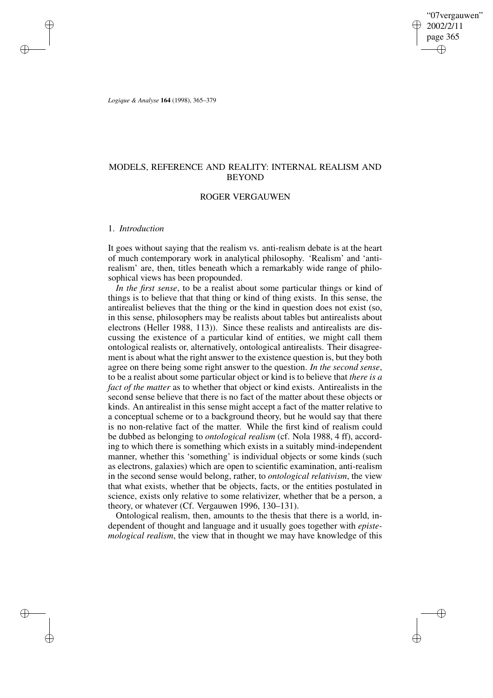# MODELS, REFERENCE AND REALITY: INTERNAL REALISM AND **BEYOND**

## ROGER VERGAUWEN

## 1. *Introduction*

It goes without saying that the realism vs. anti-realism debate is at the heart of much contemporary work in analytical philosophy. 'Realism' and 'antirealism' are, then, titles beneath which a remarkably wide range of philosophical views has been propounded.

*In the first sense*, to be a realist about some particular things or kind of things is to believe that that thing or kind of thing exists. In this sense, the antirealist believes that the thing or the kind in question does not exist (so, in this sense, philosophers may be realists about tables but antirealists about electrons (Heller 1988, 113)). Since these realists and antirealists are discussing the existence of a particular kind of entities, we might call them ontological realists or, alternatively, ontological antirealists. Their disagreement is about what the right answer to the existence question is, but they both agree on there being some right answer to the question. *In the second sense*, to be a realist about some particular object or kind is to believe that *there is a fact of the matter* as to whether that object or kind exists. Antirealists in the second sense believe that there is no fact of the matter about these objects or kinds. An antirealist in this sense might accept a fact of the matter relative to a conceptual scheme or to a background theory, but he would say that there is no non-relative fact of the matter. While the first kind of realism could be dubbed as belonging to *ontological realism* (cf. Nola 1988, 4 ff), according to which there is something which exists in a suitably mind-independent manner, whether this 'something' is individual objects or some kinds (such as electrons, galaxies) which are open to scientific examination, anti-realism in the second sense would belong, rather, to *ontological relativism*, the view that what exists, whether that be objects, facts, or the entities postulated in science, exists only relative to some relativizer, whether that be a person, a theory, or whatever (Cf. Vergauwen 1996, 130–131).

Ontological realism, then, amounts to the thesis that there is a world, independent of thought and language and it usually goes together with *epistemological realism*, the view that in thought we may have knowledge of this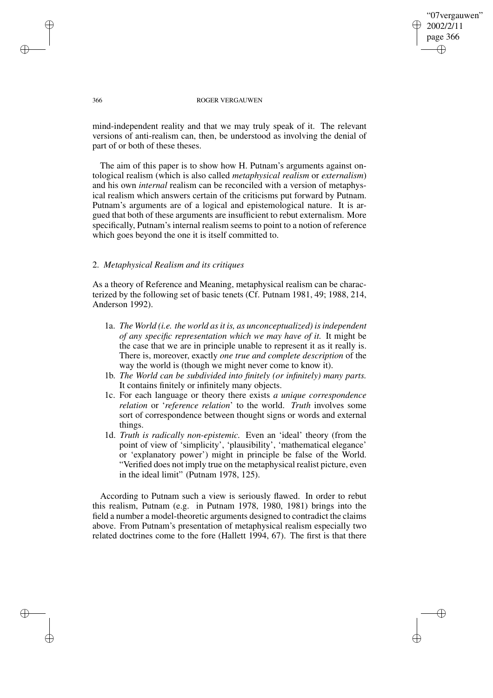mind-independent reality and that we may truly speak of it. The relevant versions of anti-realism can, then, be understood as involving the denial of part of or both of these theses.

The aim of this paper is to show how H. Putnam's arguments against ontological realism (which is also called *metaphysical realism* or *externalism*) and his own *internal* realism can be reconciled with a version of metaphysical realism which answers certain of the criticisms put forward by Putnam. Putnam's arguments are of a logical and epistemological nature. It is argued that both of these arguments are insufficient to rebut externalism. More specifically, Putnam's internal realism seems to point to a notion of reference which goes beyond the one it is itself committed to.

## 2. *Metaphysical Realism and its critiques*

As a theory of Reference and Meaning, metaphysical realism can be characterized by the following set of basic tenets (Cf. Putnam 1981, 49; 1988, 214, Anderson 1992).

- 1a. *The World (i.e. the world asit is, as unconceptualized) isindependent of any specific representation which we may have of it.* It might be the case that we are in principle unable to represent it as it really is. There is, moreover, exactly *one true and complete description* of the way the world is (though we might never come to know it).
- 1b. *The World can be subdivided into finitely (or infinitely) many parts.* It contains finitely or infinitely many objects.
- 1c. For each language or theory there exists *a unique correspondence relation* or '*reference relation*' to the world. *Truth* involves some sort of correspondence between thought signs or words and external things.
- 1d. *Truth is radically non-epistemic.* Even an 'ideal' theory (from the point of view of 'simplicity', 'plausibility', 'mathematical elegance' or 'explanatory power') might in principle be false of the World. "Verified does not imply true on the metaphysical realist picture, even in the ideal limit" (Putnam 1978, 125).

According to Putnam such a view is seriously flawed. In order to rebut this realism, Putnam (e.g. in Putnam 1978, 1980, 1981) brings into the field a number a model-theoretic arguments designed to contradict the claims above. From Putnam's presentation of metaphysical realism especially two related doctrines come to the fore (Hallett 1994, 67). The first is that there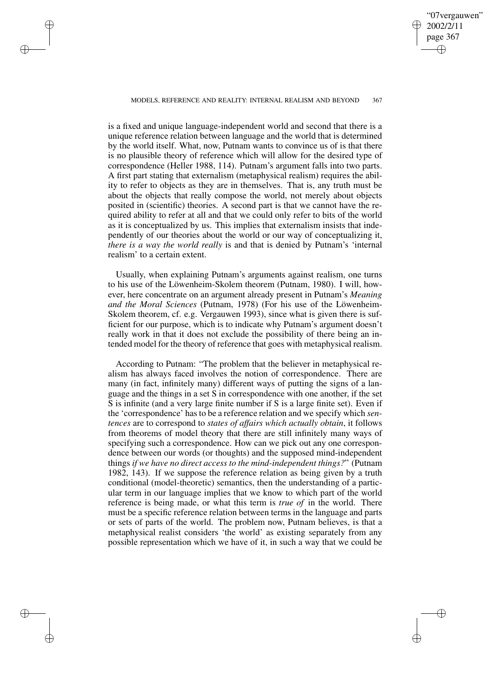is a fixed and unique language-independent world and second that there is a unique reference relation between language and the world that is determined by the world itself. What, now, Putnam wants to convince us of is that there is no plausible theory of reference which will allow for the desired type of correspondence (Heller 1988, 114). Putnam's argument falls into two parts. A first part stating that externalism (metaphysical realism) requires the ability to refer to objects as they are in themselves. That is, any truth must be about the objects that really compose the world, not merely about objects posited in (scientific) theories. A second part is that we cannot have the required ability to refer at all and that we could only refer to bits of the world as it is conceptualized by us. This implies that externalism insists that independently of our theories about the world or our way of conceptualizing it, *there is a way the world really* is and that is denied by Putnam's 'internal realism' to a certain extent.

Usually, when explaining Putnam's arguments against realism, one turns to his use of the Löwenheim-Skolem theorem (Putnam, 1980). I will, however, here concentrate on an argument already present in Putnam's *Meaning and the Moral Sciences* (Putnam, 1978) (For his use of the Löwenheim-Skolem theorem, cf. e.g. Vergauwen 1993), since what is given there is sufficient for our purpose, which is to indicate why Putnam's argument doesn't really work in that it does not exclude the possibility of there being an intended model for the theory of reference that goes with metaphysical realism.

According to Putnam: "The problem that the believer in metaphysical realism has always faced involves the notion of correspondence. There are many (in fact, infinitely many) different ways of putting the signs of a language and the things in a set S in correspondence with one another, if the set S is infinite (and a very large finite number if S is a large finite set). Even if the 'correspondence' hasto be a reference relation and we specify which *sentences* are to correspond to *states of affairs which actually obtain*, it follows from theorems of model theory that there are still infinitely many ways of specifying such a correspondence. How can we pick out any one correspondence between our words (or thoughts) and the supposed mind-independent things *if we have no direct access to the mind-independent things?*" (Putnam 1982, 143). If we suppose the reference relation as being given by a truth conditional (model-theoretic) semantics, then the understanding of a particular term in our language implies that we know to which part of the world reference is being made, or what this term is *true of* in the world. There must be a specific reference relation between terms in the language and parts or sets of parts of the world. The problem now, Putnam believes, is that a metaphysical realist considers 'the world' as existing separately from any possible representation which we have of it, in such a way that we could be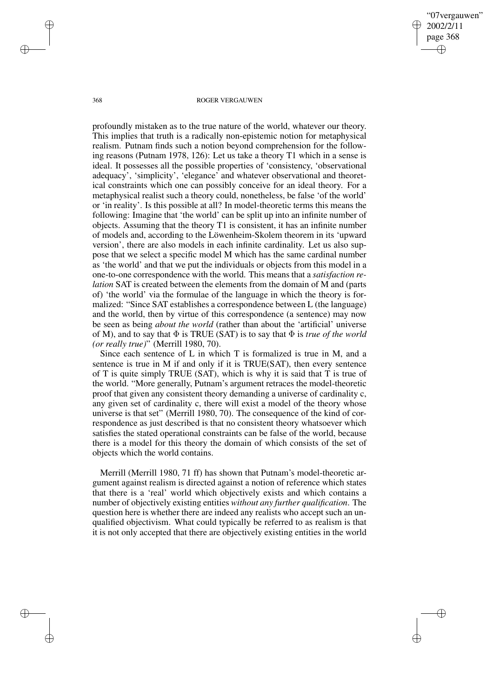profoundly mistaken as to the true nature of the world, whatever our theory. This implies that truth is a radically non-epistemic notion for metaphysical realism. Putnam finds such a notion beyond comprehension for the following reasons (Putnam 1978, 126): Let us take a theory T1 which in a sense is ideal. It possesses all the possible properties of 'consistency, 'observational adequacy', 'simplicity', 'elegance' and whatever observational and theoretical constraints which one can possibly conceive for an ideal theory. For a metaphysical realist such a theory could, nonetheless, be false 'of the world' or 'in reality'. Is this possible at all? In model-theoretic terms this means the following: Imagine that 'the world' can be split up into an infinite number of objects. Assuming that the theory T1 is consistent, it has an infinite number of models and, according to the Löwenheim-Skolem theorem in its 'upward version', there are also models in each infinite cardinality. Let us also suppose that we select a specific model M which has the same cardinal number as 'the world' and that we put the individuals or objects from this model in a one-to-one correspondence with the world. This means that a *satisfaction relation* SAT is created between the elements from the domain of M and (parts of) 'the world' via the formulae of the language in which the theory is formalized: "Since SAT establishes a correspondence between L (the language) and the world, then by virtue of this correspondence (a sentence) may now be seen as being *about the world* (rather than about the 'artificial' universe of M), and to say that  $\Phi$  is TRUE (SAT) is to say that  $\Phi$  is *true* of *the world (or really true)*" (Merrill 1980, 70).

Since each sentence of L in which T is formalized is true in M, and a sentence is true in M if and only if it is TRUE(SAT), then every sentence of T is quite simply TRUE (SAT), which is why it is said that T is true of the world. "More generally, Putnam's argument retraces the model-theoretic proof that given any consistent theory demanding a universe of cardinality c, any given set of cardinality c, there will exist a model of the theory whose universe is that set" (Merrill 1980, 70). The consequence of the kind of correspondence as just described is that no consistent theory whatsoever which satisfies the stated operational constraints can be false of the world, because there is a model for this theory the domain of which consists of the set of objects which the world contains.

Merrill (Merrill 1980, 71 ff) has shown that Putnam's model-theoretic argument against realism is directed against a notion of reference which states that there is a 'real' world which objectively exists and which contains a number of objectively existing entities *without any further qualification*. The question here is whether there are indeed any realists who accept such an unqualified objectivism. What could typically be referred to as realism is that it is not only accepted that there are objectively existing entities in the world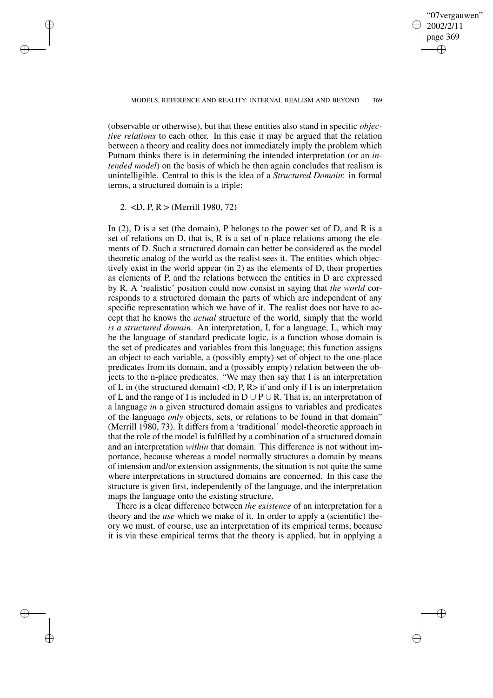(observable or otherwise), but that these entities also stand in specific *objective relations* to each other. In this case it may be argued that the relation between a theory and reality does not immediately imply the problem which Putnam thinks there is in determining the intended interpretation (or an *intended model*) on the basis of which he then again concludes that realism is unintelligible. Central to this is the idea of a *Structured Domain*: in formal terms, a structured domain is a triple:

#### 2. <D, P, R > (Merrill 1980, 72)

In  $(2)$ , D is a set (the domain), P belongs to the power set of D, and R is a set of relations on D, that is, R is a set of n-place relations among the elements of D. Such a structured domain can better be considered as the model theoretic analog of the world as the realist sees it. The entities which objectively exist in the world appear (in 2) as the elements of D, their properties as elements of P, and the relations between the entities in D are expressed by R. A 'realistic' position could now consist in saying that *the world* corresponds to a structured domain the parts of which are independent of any specific representation which we have of it. The realist does not have to accept that he knows the *actual* structure of the world, simply that the world *is a structured domain*. An interpretation, I, for a language, L, which may be the language of standard predicate logic, is a function whose domain is the set of predicates and variables from this language; this function assigns an object to each variable, a (possibly empty) set of object to the one-place predicates from its domain, and a (possibly empty) relation between the objects to the n-place predicates. "We may then say that I is an interpretation of L in (the structured domain)  $\langle D, P, R \rangle$  if and only if I is an interpretation of L and the range of I is included in  $D \cup P \cup R$ . That is, an interpretation of a language *in* a given structured domain assigns to variables and predicates of the language *only* objects, sets, or relations to be found in that domain" (Merrill 1980, 73). It differs from a 'traditional' model-theoretic approach in that the role of the model is fulfilled by a combination of a structured domain and an interpretation *within* that domain. This difference is not without importance, because whereas a model normally structures a domain by means of intension and/or extension assignments, the situation is not quite the same where interpretations in structured domains are concerned. In this case the structure is given first, independently of the language, and the interpretation maps the language onto the existing structure.

There is a clear difference between *the existence* of an interpretation for a theory and the *use* which we make of it. In order to apply a (scientific) theory we must, of course, use an interpretation of its empirical terms, because it is via these empirical terms that the theory is applied, but in applying a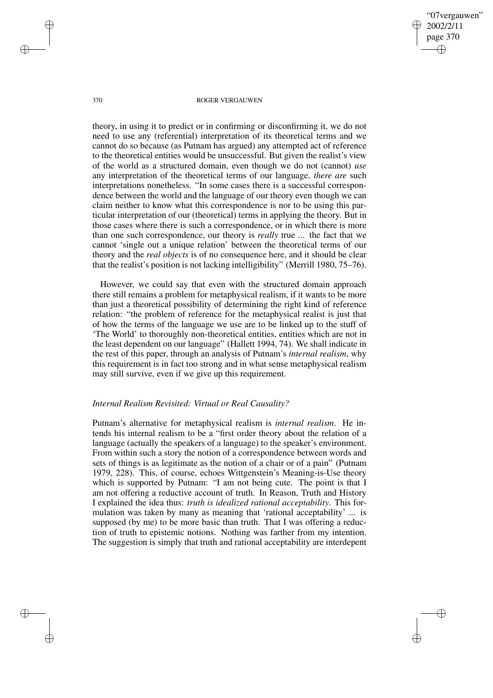theory, in using it to predict or in confirming or disconfirming it, we do not need to use any (referential) interpretation of its theoretical terms and we cannot do so because (as Putnam has argued) any attempted act of reference to the theoretical entities would be unsuccessful. But given the realist's view of the world as a structured domain, even though we do not (cannot) *use* any interpretation of the theoretical terms of our language, *there are* such interpretations nonetheless. "In some cases there is a successful correspondence between the world and the language of our theory even though we can claim neither to know what this correspondence is nor to be using this particular interpretation of our (theoretical) terms in applying the theory. But in those cases where there is such a correspondence, or in which there is more than one such correspondence, our theory is *really* true ... the fact that we cannot 'single out a unique relation' between the theoretical terms of our theory and the *real objects* is of no consequence here, and it should be clear that the realist's position is not lacking intelligibility" (Merrill 1980, 75–76).

However, we could say that even with the structured domain approach there still remains a problem for metaphysical realism, if it wants to be more than just a theoretical possibility of determining the right kind of reference relation: "the problem of reference for the metaphysical realist is just that of how the terms of the language we use are to be linked up to the stuff of 'The World' to thoroughly non-theoretical entities, entities which are not in the least dependent on our language" (Hallett 1994, 74). We shall indicate in the rest of this paper, through an analysis of Putnam's *internal realism*, why this requirement is in fact too strong and in what sense metaphysical realism may still survive, even if we give up this requirement.

### *Internal Realism Revisited: Virtual or Real Causality?*

Putnam's alternative for metaphysical realism is *internal realism*. He intends his internal realism to be a "first order theory about the relation of a language (actually the speakers of a language) to the speaker's environment. From within such a story the notion of a correspondence between words and sets of things is as legitimate as the notion of a chair or of a pain" (Putnam 1979, 228). This, of course, echoes Wittgenstein's Meaning-is-Use theory which is supported by Putnam: "I am not being cute. The point is that I am not offering a reductive account of truth. In Reason, Truth and History I explained the idea thus: *truth is idealized rational acceptability*. This formulation was taken by many as meaning that 'rational acceptability' ... is supposed (by me) to be more basic than truth. That I was offering a reduction of truth to epistemic notions. Nothing was farther from my intention. The suggestion is simply that truth and rational acceptability are interdepent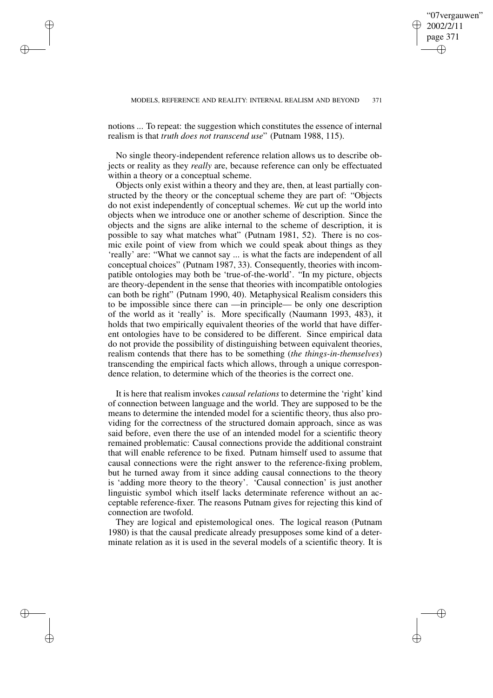notions ... To repeat: the suggestion which constitutes the essence of internal realism is that *truth does not transcend use*" (Putnam 1988, 115).

No single theory-independent reference relation allows us to describe objects or reality as they *really* are, because reference can only be effectuated within a theory or a conceptual scheme.

Objects only exist within a theory and they are, then, at least partially constructed by the theory or the conceptual scheme they are part of: "Objects do not exist independently of conceptual schemes. *We* cut up the world into objects when we introduce one or another scheme of description. Since the objects and the signs are alike internal to the scheme of description, it is possible to say what matches what" (Putnam 1981, 52). There is no cosmic exile point of view from which we could speak about things as they 'really' are: "What we cannot say ... is what the facts are independent of all conceptual choices" (Putnam 1987, 33). Consequently, theories with incompatible ontologies may both be 'true-of-the-world'. "In my picture, objects are theory-dependent in the sense that theories with incompatible ontologies can both be right" (Putnam 1990, 40). Metaphysical Realism considers this to be impossible since there can —in principle— be only one description of the world as it 'really' is. More specifically (Naumann 1993, 483), it holds that two empirically equivalent theories of the world that have different ontologies have to be considered to be different. Since empirical data do not provide the possibility of distinguishing between equivalent theories, realism contends that there has to be something (*the things-in-themselves*) transcending the empirical facts which allows, through a unique correspondence relation, to determine which of the theories is the correct one.

It is here that realism invokes *causal relations* to determine the 'right' kind of connection between language and the world. They are supposed to be the means to determine the intended model for a scientific theory, thus also providing for the correctness of the structured domain approach, since as was said before, even there the use of an intended model for a scientific theory remained problematic: Causal connections provide the additional constraint that will enable reference to be fixed. Putnam himself used to assume that causal connections were the right answer to the reference-fixing problem, but he turned away from it since adding causal connections to the theory is 'adding more theory to the theory'. 'Causal connection' is just another linguistic symbol which itself lacks determinate reference without an acceptable reference-fixer. The reasons Putnam gives for rejecting this kind of connection are twofold.

They are logical and epistemological ones. The logical reason (Putnam 1980) is that the causal predicate already presupposes some kind of a determinate relation as it is used in the several models of a scientific theory. It is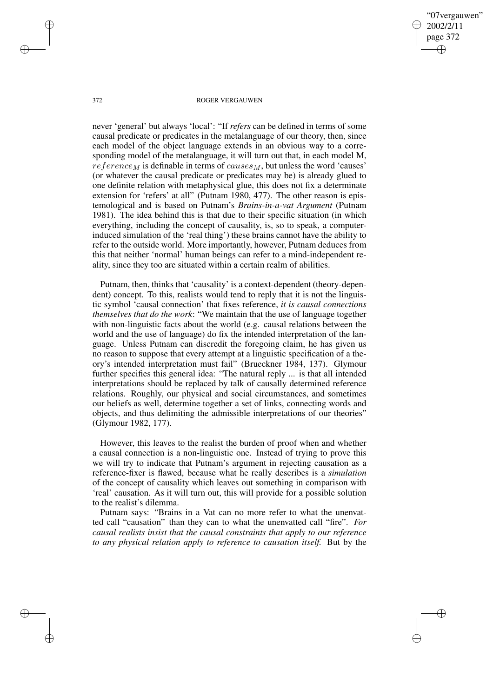never 'general' but always 'local': "If *refers* can be defined in terms of some causal predicate or predicates in the metalanguage of our theory, then, since each model of the object language extends in an obvious way to a corresponding model of the metalanguage, it will turn out that, in each model M, *reference M* is definable in terms of causes *M*, but unless the word 'causes' (or whatever the causal predicate or predicates may be) is already glued to one definite relation with metaphysical glue, this does not fix a determinate extension for 'refers' at all" (Putnam 1980, 477). The other reason is epistemological and is based on Putnam's *Brains-in-a-vat Argument* (Putnam 1981). The idea behind this is that due to their specific situation (in which everything, including the concept of causality, is, so to speak, a computerinduced simulation of the 'real thing') these brains cannot have the ability to refer to the outside world. More importantly, however, Putnam deduces from this that neither 'normal' human beings can refer to a mind-independent reality, since they too are situated within a certain realm of abilities.

Putnam, then, thinks that 'causality' is a context-dependent (theory-dependent) concept. To this, realists would tend to reply that it is not the linguistic symbol 'causal connection' that fixes reference, *it is causal connections themselves that do the work*: "We maintain that the use of language together with non-linguistic facts about the world (e.g. causal relations between the world and the use of language) do fix the intended interpretation of the language. Unless Putnam can discredit the foregoing claim, he has given us no reason to suppose that every attempt at a linguistic specification of a theory's intended interpretation must fail" (Brueckner 1984, 137). Glymour further specifies this general idea: "The natural reply ... is that all intended interpretations should be replaced by talk of causally determined reference relations. Roughly, our physical and social circumstances, and sometimes our beliefs as well, determine together a set of links, connecting words and objects, and thus delimiting the admissible interpretations of our theories" (Glymour 1982, 177).

However, this leaves to the realist the burden of proof when and whether a causal connection is a non-linguistic one. Instead of trying to prove this we will try to indicate that Putnam's argument in rejecting causation as a reference-fixer is flawed, because what he really describes is a *simulation* of the concept of causality which leaves out something in comparison with 'real' causation. As it will turn out, this will provide for a possible solution to the realist's dilemma.

Putnam says: "Brains in a Vat can no more refer to what the unenvatted call "causation" than they can to what the unenvatted call "fire". *For causal realists insist that the causal constraints that apply to our reference to any physical relation apply to reference to causation itself.* But by the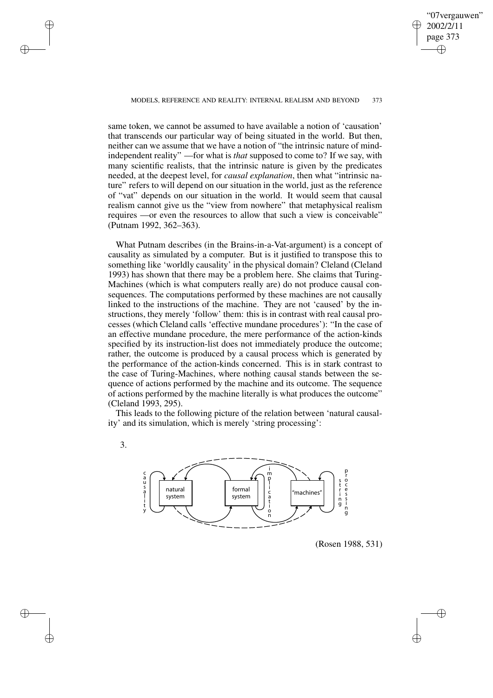same token, we cannot be assumed to have available a notion of 'causation' that transcends our particular way of being situated in the world. But then, neither can we assume that we have a notion of "the intrinsic nature of mindindependent reality" —for what is *that* supposed to come to? If we say, with many scientific realists, that the intrinsic nature is given by the predicates needed, at the deepest level, for *causal explanation*, then what "intrinsic nature" refers to will depend on our situation in the world, just as the reference of "vat" depends on our situation in the world. It would seem that causal realism cannot give us the "view from nowhere" that metaphysical realism requires —or even the resources to allow that such a view is conceivable" (Putnam 1992, 362–363).

What Putnam describes (in the Brains-in-a-Vat-argument) is a concept of causality as simulated by a computer. But is it justified to transpose this to something like 'worldly causality' in the physical domain? Cleland (Cleland 1993) has shown that there may be a problem here. She claims that Turing-Machines (which is what computers really are) do not produce causal consequences. The computations performed by these machines are not causally linked to the instructions of the machine. They are not 'caused' by the instructions, they merely 'follow' them: this is in contrast with real causal processes (which Cleland calls 'effective mundane procedures'): "In the case of an effective mundane procedure, the mere performance of the action-kinds specified by its instruction-list does not immediately produce the outcome; rather, the outcome is produced by a causal process which is generated by the performance of the action-kinds concerned. This is in stark contrast to the case of Turing-Machines, where nothing causal stands between the sequence of actions performed by the machine and its outcome. The sequence of actions performed by the machine literally is what produces the outcome" (Cleland 1993, 295).

This leads to the following picture of the relation between 'natural causality' and its simulation, which is merely 'string processing':





(Rosen 1988, 531)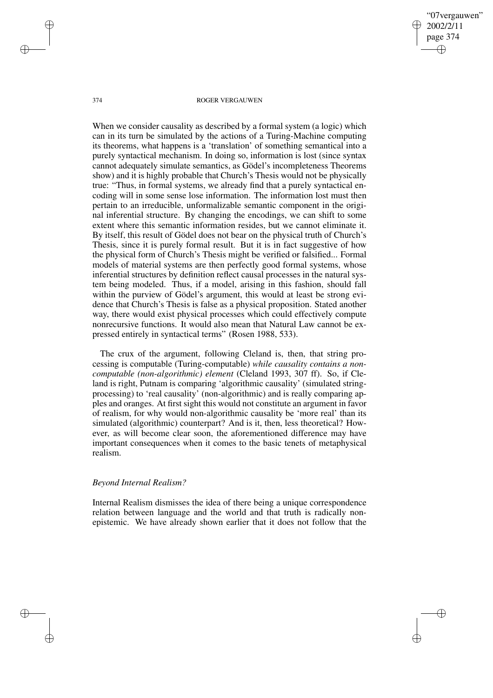When we consider causality as described by a formal system (a logic) which can in its turn be simulated by the actions of a Turing-Machine computing its theorems, what happens is a 'translation' of something semantical into a purely syntactical mechanism. In doing so, information is lost (since syntax cannot adequately simulate semantics, as Gödel's incompleteness Theorems show) and it is highly probable that Church's Thesis would not be physically true: "Thus, in formal systems, we already find that a purely syntactical encoding will in some sense lose information. The information lost must then pertain to an irreducible, unformalizable semantic component in the original inferential structure. By changing the encodings, we can shift to some extent where this semantic information resides, but we cannot eliminate it. By itself, this result of Gödel does not bear on the physical truth of Church's Thesis, since it is purely formal result. But it is in fact suggestive of how the physical form of Church's Thesis might be verified or falsified... Formal models of material systems are then perfectly good formal systems, whose inferential structures by definition reflect causal processes in the natural system being modeled. Thus, if a model, arising in this fashion, should fall within the purview of Gödel's argument, this would at least be strong evidence that Church's Thesis is false as a physical proposition. Stated another way, there would exist physical processes which could effectively compute nonrecursive functions. It would also mean that Natural Law cannot be expressed entirely in syntactical terms" (Rosen 1988, 533).

The crux of the argument, following Cleland is, then, that string processing is computable (Turing-computable) *while causality contains a noncomputable (non-algorithmic) element* (Cleland 1993, 307 ff). So, if Cleland is right, Putnam is comparing 'algorithmic causality' (simulated stringprocessing) to 'real causality' (non-algorithmic) and is really comparing apples and oranges. At first sight this would not constitute an argument in favor of realism, for why would non-algorithmic causality be 'more real' than its simulated (algorithmic) counterpart? And is it, then, less theoretical? However, as will become clear soon, the aforementioned difference may have important consequences when it comes to the basic tenets of metaphysical realism.

## *Beyond Internal Realism?*

Internal Realism dismisses the idea of there being a unique correspondence relation between language and the world and that truth is radically nonepistemic. We have already shown earlier that it does not follow that the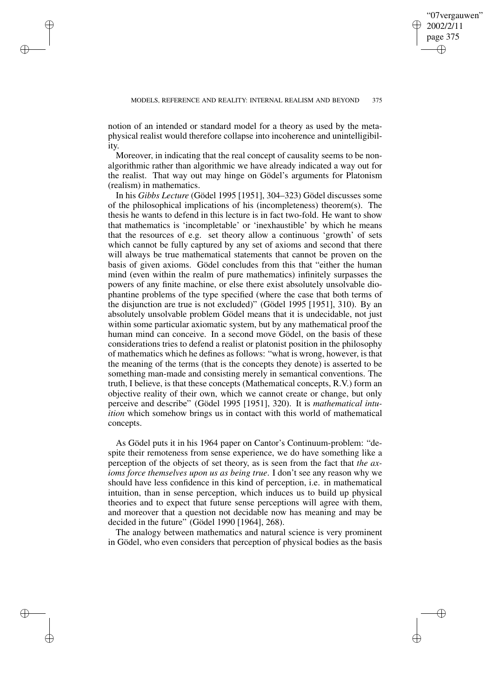notion of an intended or standard model for a theory as used by the metaphysical realist would therefore collapse into incoherence and unintelligibility.

Moreover, in indicating that the real concept of causality seems to be nonalgorithmic rather than algorithmic we have already indicated a way out for the realist. That way out may hinge on Gödel's arguments for Platonism (realism) in mathematics.

In his *Gibbs Lecture* (Gödel 1995 [1951], 304–323) Gödel discusses some of the philosophical implications of his (incompleteness) theorem(s). The thesis he wants to defend in this lecture is in fact two-fold. He want to show that mathematics is 'incompletable' or 'inexhaustible' by which he means that the resources of e.g. set theory allow a continuous 'growth' of sets which cannot be fully captured by any set of axioms and second that there will always be true mathematical statements that cannot be proven on the basis of given axioms. Gödel concludes from this that "either the human mind (even within the realm of pure mathematics) infinitely surpasses the powers of any finite machine, or else there exist absolutely unsolvable diophantine problems of the type specified (where the case that both terms of the disjunction are true is not excluded)" (Gödel 1995 [1951], 310). By an absolutely unsolvable problem Gödel means that it is undecidable, not just within some particular axiomatic system, but by any mathematical proof the human mind can conceive. In a second move Gödel, on the basis of these considerations tries to defend a realist or platonist position in the philosophy of mathematics which he defines as follows: "what is wrong, however, is that the meaning of the terms (that is the concepts they denote) is asserted to be something man-made and consisting merely in semantical conventions. The truth, I believe, is that these concepts (Mathematical concepts, R.V.) form an objective reality of their own, which we cannot create or change, but only perceive and describe" (Gödel 1995 [1951], 320). It is *mathematical intuition* which somehow brings us in contact with this world of mathematical concepts.

As Gödel puts it in his 1964 paper on Cantor's Continuum-problem: "despite their remoteness from sense experience, we do have something like a perception of the objects of set theory, as is seen from the fact that *the axioms force themselves upon us as being true*. I don't see any reason why we should have less confidence in this kind of perception, i.e. in mathematical intuition, than in sense perception, which induces us to build up physical theories and to expect that future sense perceptions will agree with them, and moreover that a question not decidable now has meaning and may be decided in the future" (Gödel 1990 [1964], 268).

The analogy between mathematics and natural science is very prominent in Gödel, who even considers that perception of physical bodies as the basis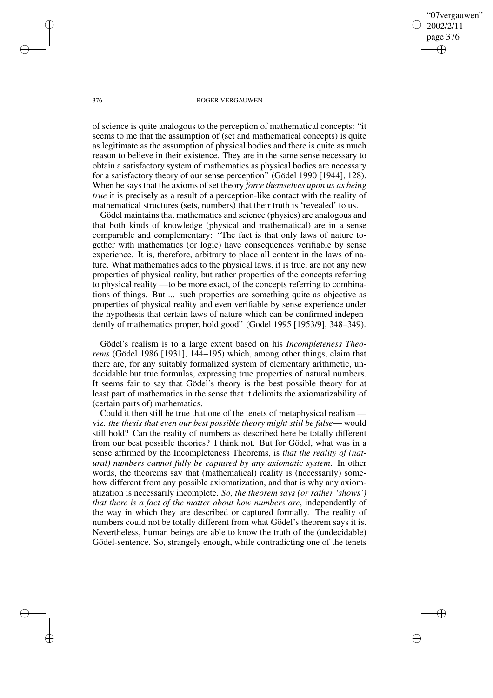of science is quite analogous to the perception of mathematical concepts: "it seems to me that the assumption of (set and mathematical concepts) is quite as legitimate as the assumption of physical bodies and there is quite as much reason to believe in their existence. They are in the same sense necessary to obtain a satisfactory system of mathematics as physical bodies are necessary for a satisfactory theory of our sense perception" (Gödel 1990 [1944], 128). When he says that the axioms of set theory *force themselves upon us as being true* it is precisely as a result of a perception-like contact with the reality of mathematical structures (sets, numbers) that their truth is 'revealed' to us.

Gödel maintains that mathematics and science (physics) are analogous and that both kinds of knowledge (physical and mathematical) are in a sense comparable and complementary: "The fact is that only laws of nature together with mathematics (or logic) have consequences verifiable by sense experience. It is, therefore, arbitrary to place all content in the laws of nature. What mathematics adds to the physical laws, it is true, are not any new properties of physical reality, but rather properties of the concepts referring to physical reality —to be more exact, of the concepts referring to combinations of things. But ... such properties are something quite as objective as properties of physical reality and even verifiable by sense experience under the hypothesis that certain laws of nature which can be confirmed independently of mathematics proper, hold good" (Gödel 1995 [1953/9], 348–349).

Gödel's realism is to a large extent based on his *Incompleteness Theorems* (Gödel 1986 [1931], 144–195) which, among other things, claim that there are, for any suitably formalized system of elementary arithmetic, undecidable but true formulas, expressing true properties of natural numbers. It seems fair to say that Gödel's theory is the best possible theory for at least part of mathematics in the sense that it delimits the axiomatizability of (certain parts of) mathematics.

Could it then still be true that one of the tenets of metaphysical realism viz. *the thesis that even our best possible theory might still be false*— would still hold? Can the reality of numbers as described here be totally different from our best possible theories? I think not. But for Gödel, what was in a sense affirmed by the Incompleteness Theorems, is *that the reality of (natural) numbers cannot fully be captured by any axiomatic system*. In other words, the theorems say that (mathematical) reality is (necessarily) somehow different from any possible axiomatization, and that is why any axiomatization is necessarily incomplete. *So, the theorem says (or rather 'shows') that there is a fact of the matter about how numbers are*, independently of the way in which they are described or captured formally. The reality of numbers could not be totally different from what Gödel's theorem says it is. Nevertheless, human beings are able to know the truth of the (undecidable) Gödel-sentence. So, strangely enough, while contradicting one of the tenets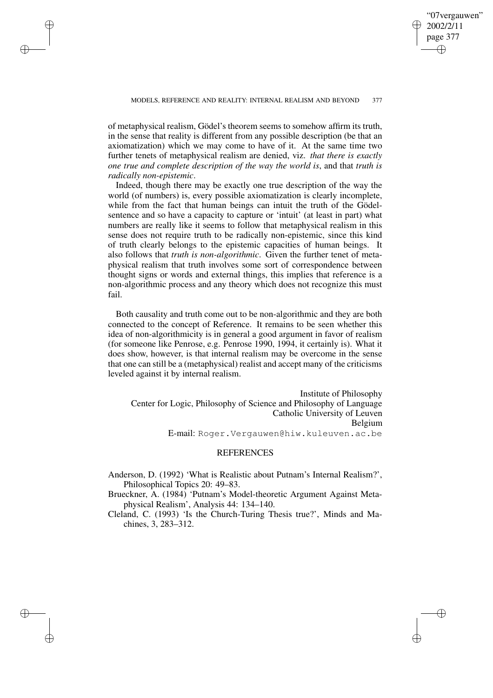of metaphysical realism, Gödel's theorem seems to somehow affirm its truth, in the sense that reality is different from any possible description (be that an axiomatization) which we may come to have of it. At the same time two further tenets of metaphysical realism are denied, viz. *that there is exactly one true and complete description of the way the world is*, and that *truth is radically non-epistemic*.

Indeed, though there may be exactly one true description of the way the world (of numbers) is, every possible axiomatization is clearly incomplete, while from the fact that human beings can intuit the truth of the Gödelsentence and so have a capacity to capture or 'intuit' (at least in part) what numbers are really like it seems to follow that metaphysical realism in this sense does not require truth to be radically non-epistemic, since this kind of truth clearly belongs to the epistemic capacities of human beings. It also follows that *truth is non-algorithmic*. Given the further tenet of metaphysical realism that truth involves some sort of correspondence between thought signs or words and external things, this implies that reference is a non-algorithmic process and any theory which does not recognize this must fail.

Both causality and truth come out to be non-algorithmic and they are both connected to the concept of Reference. It remains to be seen whether this idea of non-algorithmicity is in general a good argument in favor of realism (for someone like Penrose, e.g. Penrose 1990, 1994, it certainly is). What it does show, however, is that internal realism may be overcome in the sense that one can still be a (metaphysical) realist and accept many of the criticisms leveled against it by internal realism.

Institute of Philosophy Center for Logic, Philosophy of Science and Philosophy of Language Catholic University of Leuven Belgium E-mail: Roger.Vergauwen@hiw.kuleuven.ac.be

## **REFERENCES**

Anderson, D. (1992) 'What is Realistic about Putnam's Internal Realism?', Philosophical Topics 20: 49–83.

Brueckner, A. (1984) 'Putnam's Model-theoretic Argument Against Metaphysical Realism', Analysis 44: 134–140.

Cleland, C. (1993) 'Is the Church-Turing Thesis true?', Minds and Machines, 3, 283–312.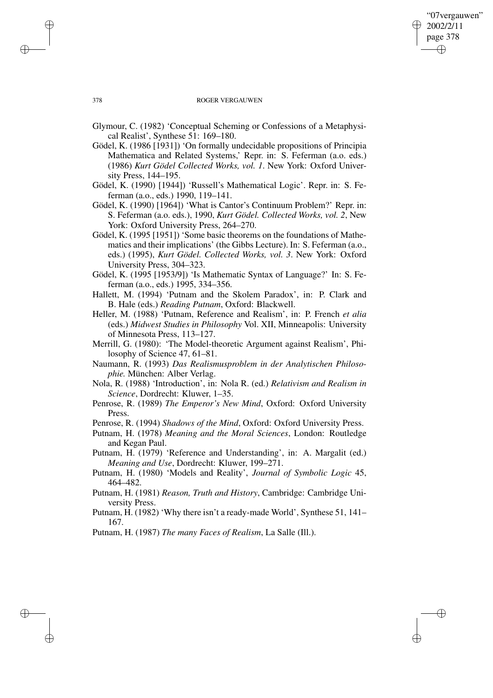- Glymour, C. (1982) 'Conceptual Scheming or Confessions of a Metaphysical Realist', Synthese 51: 169–180.
- Gödel, K. (1986 [1931]) 'On formally undecidable propositions of Principia Mathematica and Related Systems,' Repr. in: S. Feferman (a.o. eds.) (1986) *Kurt Gödel Collected Works, vol. 1*. New York: Oxford University Press, 144–195.
- Gödel, K. (1990) [1944]) 'Russell's Mathematical Logic'. Repr. in: S. Feferman (a.o., eds.) 1990, 119–141.
- Gödel, K. (1990) [1964]) 'What is Cantor's Continuum Problem?' Repr. in: S. Feferman (a.o. eds.), 1990, *Kurt Gödel. Collected Works, vol. 2*, New York: Oxford University Press, 264–270.
- Gödel, K. (1995 [1951]) 'Some basic theorems on the foundations of Mathematics and their implications' (the Gibbs Lecture). In: S. Feferman (a.o., eds.) (1995), *Kurt Gödel. Collected Works, vol. 3*. New York: Oxford University Press, 304–323.
- Gödel, K. (1995 [1953/9]) 'Is Mathematic Syntax of Language?' In: S. Feferman (a.o., eds.) 1995, 334–356.
- Hallett, M. (1994) 'Putnam and the Skolem Paradox', in: P. Clark and B. Hale (eds.) *Reading Putnam*, Oxford: Blackwell.
- Heller, M. (1988) 'Putnam, Reference and Realism', in: P. French *et alia* (eds.) *Midwest Studies in Philosophy* Vol. XII, Minneapolis: University of Minnesota Press, 113–127.
- Merrill, G. (1980): 'The Model-theoretic Argument against Realism', Philosophy of Science 47, 61–81.
- Naumann, R. (1993) *Das Realismusproblem in der Analytischen Philosophie.* München: Alber Verlag.
- Nola, R. (1988) 'Introduction', in: Nola R. (ed.) *Relativism and Realism in Science*, Dordrecht: Kluwer, 1–35.
- Penrose, R. (1989) *The Emperor's New Mind*, Oxford: Oxford University Press.
- Penrose, R. (1994) *Shadows of the Mind*, Oxford: Oxford University Press.
- Putnam, H. (1978) *Meaning and the Moral Sciences*, London: Routledge and Kegan Paul.
- Putnam, H. (1979) 'Reference and Understanding', in: A. Margalit (ed.) *Meaning and Use*, Dordrecht: Kluwer, 199–271.
- Putnam, H. (1980) 'Models and Reality', *Journal of Symbolic Logic* 45, 464–482.
- Putnam, H. (1981) *Reason, Truth and History*, Cambridge: Cambridge University Press.
- Putnam, H. (1982) 'Why there isn't a ready-made World', Synthese 51, 141– 167.
- Putnam, H. (1987) *The many Faces of Realism*, La Salle (Ill.).